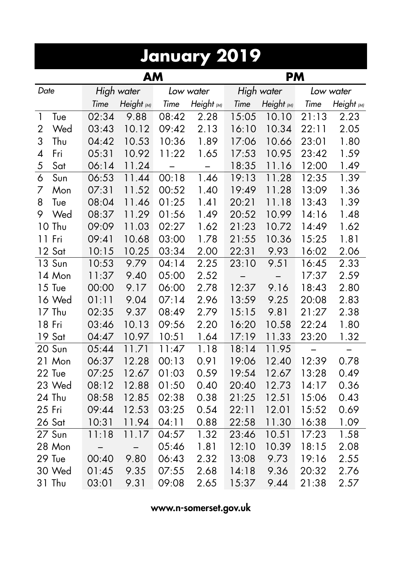|                       | January 2019      |            |       |            |       |            |       |            |  |  |  |  |
|-----------------------|-------------------|------------|-------|------------|-------|------------|-------|------------|--|--|--|--|
|                       |                   | <b>AM</b>  |       |            |       | <b>PM</b>  |       |            |  |  |  |  |
| Date                  |                   | High water |       | Low water  |       | High water |       | Low water  |  |  |  |  |
|                       | Time              | Height (M) | Time  | Height (M) | Time  | Height (M) | Time  | Height (M) |  |  |  |  |
| $\mathbf{1}$<br>Tue   | 02:34             | 9.88       | 08:42 | 2.28       | 15:05 | 10.10      | 21:13 | 2.23       |  |  |  |  |
| $\overline{2}$<br>Wed | 03:43             | 10.12      | 09:42 | 2.13       | 16:10 | 10.34      | 22:11 | 2.05       |  |  |  |  |
| 3<br>Thu              | 04:42             | 10.53      | 10:36 | 1.89       | 17:06 | 10.66      | 23:01 | 1.80       |  |  |  |  |
| $\overline{4}$<br>Fri | 05:31             | 10.92      | 11:22 | 1.65       | 17:53 | 10.95      | 23:42 | 1.59       |  |  |  |  |
| 5<br>Sat              | 06:14             | 11.24      | —     |            | 18:35 | 11.16      | 12:00 | 1.49       |  |  |  |  |
| $\overline{6}$<br>Sun | 06:53             | 11.44      | 00:18 | 1.46       | 19:13 | 11.28      | 12:35 | 1.39       |  |  |  |  |
| 7<br>Mon              | 07:31             | 11.52      | 00:52 | 1.40       | 19:49 | 11.28      | 13:09 | 1.36       |  |  |  |  |
| 8<br>Tue              | 08:04             | 11.46      | 01:25 | 1.41       | 20:21 | 11.18      | 13:43 | 1.39       |  |  |  |  |
| 9<br>Wed              | 08:37             | 11.29      | 01:56 | 1.49       | 20:52 | 10.99      | 14:16 | 1.48       |  |  |  |  |
| 10 Thu                | 09:09             | 11.03      | 02:27 | 1.62       | 21:23 | 10.72      | 14:49 | 1.62       |  |  |  |  |
| 11 Fri                | 09:41             | 10.68      | 03:00 | 1.78       | 21:55 | 10.36      | 15:25 | 1.81       |  |  |  |  |
| 12 Sat                | 10:15             | 10.25      | 03:34 | 2.00       | 22:31 | 9.93       | 16:02 | 2.06       |  |  |  |  |
| 13 Sun                | 10:53             | 9.79       | 04:14 | 2.25       | 23:10 | 9.51       | 16:45 | 2.33       |  |  |  |  |
| 14 Mon                | 11:37             | 9.40       | 05:00 | 2.52       |       |            | 17:37 | 2.59       |  |  |  |  |
| 15 Tue                | 00:00             | 9.17       | 06:00 | 2.78       | 12:37 | 9.16       | 18:43 | 2.80       |  |  |  |  |
| 16 Wed                | 01:11             | 9.04       | 07:14 | 2.96       | 13:59 | 9.25       | 20:08 | 2.83       |  |  |  |  |
| 17 Thu                | 02:35             | 9.37       | 08:49 | 2.79       | 15:15 | 9.81       | 21:27 | 2.38       |  |  |  |  |
| 18 Fri                | 03:46             | 10.13      | 09:56 | 2.20       | 16:20 | 10.58      | 22:24 | 1.80       |  |  |  |  |
| 19 Sat                | 04:47             | 10.97      | 10:51 | 1.64       | 17:19 | 11.33      | 23:20 | 1.32       |  |  |  |  |
| 20 Sun                | 05:44             | 11.71      | 11:47 | 1.18       | 18:14 | 11.95      |       |            |  |  |  |  |
| 21 Mon                | 06:37             | 12.28      | 00:13 | 0.91       | 19:06 | 12.40      | 12:39 | 0.78       |  |  |  |  |
| 22 Tue                | 07:25             | 12.67      | 01:03 | 0.59       | 19:54 | 12.67      | 13:28 | 0.49       |  |  |  |  |
| 23 Wed                | 08:12             | 12.88      | 01:50 | 0.40       | 20:40 | 12.73      | 14:17 | 0.36       |  |  |  |  |
| 24 Thu                | 08:58             | 12.85      | 02:38 | 0.38       | 21:25 | 12.51      | 15:06 | 0.43       |  |  |  |  |
| 25 Fri                | 09:44             | 12.53      | 03:25 | 0.54       | 22:11 | 12.01      | 15:52 | 0.69       |  |  |  |  |
| 26 Sat                | 10:31             | 11.94      | 04:11 | 0.88       | 22:58 | 11.30      | 16:38 | 1.09       |  |  |  |  |
| 27 Sun                | 11:18             | 11.17      | 04:57 | 1.32       | 23:46 | 10.51      | 17:23 | 1.58       |  |  |  |  |
| 28 Mon                | $\qquad \qquad -$ |            | 05:46 | 1.81       | 12:10 | 10.39      | 18:15 | 2.08       |  |  |  |  |
| 29 Tue                | 00:40             | 9.80       | 06:43 | 2.32       | 13:08 | 9.73       | 19:16 | 2.55       |  |  |  |  |
| 30 Wed                | 01:45             | 9.35       | 07:55 | 2.68       | 14:18 | 9.36       | 20:32 | 2.76       |  |  |  |  |
| 31 Thu                | 03:01             | 9.31       | 09:08 | 2.65       | 15:37 | 9.44       | 21:38 | 2.57       |  |  |  |  |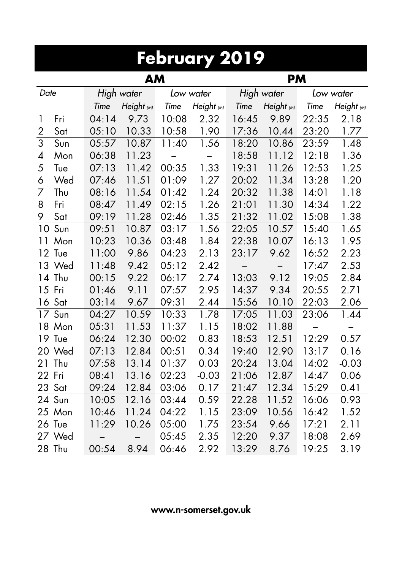|                | <b>February 2019</b> |            |            |       |            |       |                   |       |            |  |  |  |  |
|----------------|----------------------|------------|------------|-------|------------|-------|-------------------|-------|------------|--|--|--|--|
|                | AM<br><b>PM</b>      |            |            |       |            |       |                   |       |            |  |  |  |  |
| Date           |                      | High water |            |       | Low water  |       | High water        |       | Low water  |  |  |  |  |
|                |                      | Time       | Height (M) | Time  | Height (M) | Time  | Height (M)        | Time  | Height (M) |  |  |  |  |
| $\mathbf{1}$   | Fri                  | 04:14      | 9.73       | 10:08 | 2.32       | 16:45 | 9.89              | 22:35 | 2.18       |  |  |  |  |
| 2              | Sat                  | 05:10      | 10.33      | 10:58 | 1.90       | 17:36 | 10.44             | 23:20 | 1.77       |  |  |  |  |
| $\overline{3}$ | Sun                  | 05:57      | 10.87      | 11:40 | 1.56       | 18:20 | 10.86             | 23:59 | 1.48       |  |  |  |  |
| 4              | Mon                  | 06:38      | 11.23      | —     | -          | 18:58 | 11.12             | 12:18 | 1.36       |  |  |  |  |
| 5              | Tue                  | 07:13      | 11.42      | 00:35 | 1.33       | 19:31 | 11.26             | 12:53 | 1.25       |  |  |  |  |
| 6              | Wed                  | 07:46      | 11.51      | 01:09 | 1.27       | 20:02 | 11.34             | 13:28 | 1.20       |  |  |  |  |
| 7              | Thu                  | 08:16      | 11.54      | 01:42 | 1.24       | 20:32 | 11.38             | 14:01 | 1.18       |  |  |  |  |
| 8              | Fri                  | 08:47      | 11.49      | 02:15 | 1.26       | 21:01 | 11.30             | 14:34 | 1.22       |  |  |  |  |
| 9              | Sat                  | 09:19      | 11.28      | 02:46 | 1.35       | 21:32 | 11.02             | 15:08 | 1.38       |  |  |  |  |
| 10             | Sun                  | 09:51      | 10.87      | 03:17 | 1.56       | 22:05 | 10.57             | 15:40 | 1.65       |  |  |  |  |
| 11             | Mon                  | 10:23      | 10.36      | 03:48 | 1.84       | 22:38 | 10.07             | 16:13 | 1.95       |  |  |  |  |
|                | 12 Tue               | 11:00      | 9.86       | 04:23 | 2.13       | 23:17 | 9.62              | 16:52 | 2.23       |  |  |  |  |
|                | 13 Wed               | 11:48      | 9.42       | 05:12 | 2.42       |       | $\qquad \qquad -$ | 17:47 | 2.53       |  |  |  |  |
| 14             | Thu                  | 00:15      | 9.22       | 06:17 | 2.74       | 13:03 | 9.12              | 19:05 | 2.84       |  |  |  |  |
|                | 15 Fri               | 01:46      | 9.11       | 07:57 | 2.95       | 14:37 | 9.34              | 20:55 | 2.71       |  |  |  |  |
|                | 16 Sat               | 03:14      | 9.67       | 09:31 | 2.44       | 15:56 | 10.10             | 22:03 | 2.06       |  |  |  |  |
| 17             | Sun                  | 04:27      | 10.59      | 10:33 | 1.78       | 17:05 | 11.03             | 23:06 | 1.44       |  |  |  |  |
|                | 18 Mon               | 05:31      | 11.53      | 11:37 | 1.15       | 18:02 | 11.88             |       |            |  |  |  |  |
|                | 19 Tue               | 06:24      | 12.30      | 00:02 | 0.83       | 18:53 | 12.51             | 12:29 | 0.57       |  |  |  |  |
|                | 20 Wed               | 07:13      | 12.84      | 00:51 | 0.34       | 19:40 | 12.90             | 13:17 | 0.16       |  |  |  |  |
| 21             | Thu                  | 07:58      | 13.14      | 01:37 | 0.03       | 20:24 | 13.04             | 14:02 | $-0.03$    |  |  |  |  |
| 22             | Fri                  | 08:41      | 13.16      | 02:23 | $-0.03$    | 21:06 | 12.87             | 14:47 | 0.06       |  |  |  |  |
| 23             | Sat                  | 09:24      | 12.84      | 03:06 | 0.17       | 21:47 | 12.34             | 15:29 | 0.41       |  |  |  |  |
|                | 24 Sun               | 10:05      | 12.16      | 03:44 | 0.59       | 22.28 | 11.52             | 16:06 | 0.93       |  |  |  |  |
|                | 25 Mon               | 10:46      | 11.24      | 04:22 | 1.15       | 23:09 | 10.56             | 16:42 | 1.52       |  |  |  |  |
|                | 26 Tue               | 11:29      | 10.26      | 05:00 | 1.75       | 23:54 | 9.66              | 17:21 | 2.11       |  |  |  |  |
|                | 27 Wed               | —          | —          | 05:45 | 2.35       | 12:20 | 9.37              | 18:08 | 2.69       |  |  |  |  |
|                | 28 Thu               | 00:54      | 8.94       | 06:46 | 2.92       | 13:29 | 8.76              | 19:25 | 3.19       |  |  |  |  |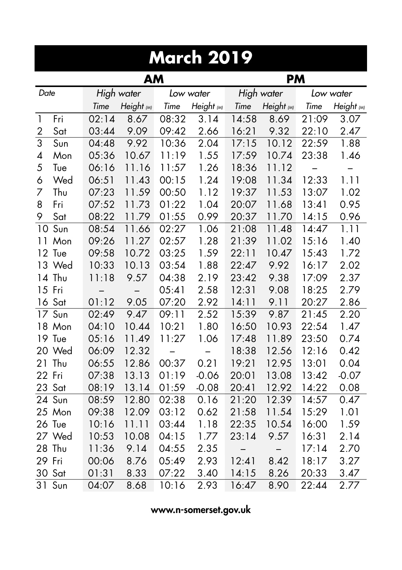|                | <b>March 2019</b> |            |            |       |            |       |            |       |            |  |  |  |
|----------------|-------------------|------------|------------|-------|------------|-------|------------|-------|------------|--|--|--|
|                |                   |            | AM         |       |            |       | <b>PM</b>  |       |            |  |  |  |
| Date           |                   | High water |            |       | Low water  |       | High water |       | Low water  |  |  |  |
|                |                   | Time       | Height (M) | Time  | Height (M) | Time  | Height (M) | Time  | Height (M) |  |  |  |
| $\mathbf{1}$   | Fri               | 02:14      | 8.67       | 08:32 | 3.14       | 14:58 | 8.69       | 21:09 | 3.07       |  |  |  |
| $\overline{2}$ | Sat               | 03:44      | 9.09       | 09:42 | 2.66       | 16:21 | 9.32       | 22:10 | 2.47       |  |  |  |
| $\overline{3}$ | Sun               | 04:48      | 9.92       | 10:36 | 2.04       | 17:15 | 10.12      | 22:59 | 1.88       |  |  |  |
| 4              | Mon               | 05:36      | 10.67      | 11:19 | 1.55       | 17:59 | 10.74      | 23:38 | 1.46       |  |  |  |
| 5              | Tue               | 06:16      | 11.16      | 11:57 | 1.26       | 18:36 | 11.12      |       |            |  |  |  |
| 6              | Wed               | 06:51      | 11.43      | 00:15 | 1.24       | 19:08 | 11.34      | 12:33 | 1.11       |  |  |  |
| 7              | Thu               | 07:23      | 11.59      | 00:50 | 1.12       | 19:37 | 11.53      | 13:07 | 1.02       |  |  |  |
| 8              | Fri               | 07:52      | 11.73      | 01:22 | 1.04       | 20:07 | 11.68      | 13:41 | 0.95       |  |  |  |
| 9              | Sat               | 08:22      | 11.79      | 01:55 | 0.99       | 20:37 | 11.70      | 14:15 | 0.96       |  |  |  |
| 10             | Sun               | 08:54      | 11.66      | 02:27 | 1.06       | 21:08 | 11.48      | 14:47 | 1.11       |  |  |  |
| 11             | Mon               | 09:26      | 11.27      | 02:57 | 1.28       | 21:39 | 11.02      | 15:16 | 1.40       |  |  |  |
|                | 12 Tue            | 09:58      | 10.72      | 03:25 | 1.59       | 22:11 | 10.47      | 15:43 | 1.72       |  |  |  |
| 13             | Wed               | 10:33      | 10.13      | 03:54 | 1.88       | 22:47 | 9.92       | 16:17 | 2.02       |  |  |  |
|                | 14 Thu            | 11:18      | 9.57       | 04:38 | 2.19       | 23:42 | 9.38       | 17:09 | 2.37       |  |  |  |
|                | 15 Fri            |            |            | 05:41 | 2.58       | 12:31 | 9.08       | 18:25 | 2.79       |  |  |  |
|                | 16 Sat            | 01:12      | 9.05       | 07:20 | 2.92       | 14:11 | 9.11       | 20:27 | 2.86       |  |  |  |
| 17             | Sun               | 02:49      | 9.47       | 09:11 | 2.52       | 15:39 | 9.87       | 21:45 | 2.20       |  |  |  |
|                | 18 Mon            | 04:10      | 10.44      | 10:21 | 1.80       | 16:50 | 10.93      | 22:54 | 1.47       |  |  |  |
|                | 19 Tue            | 05:16      | 11.49      | 11:27 | 1.06       | 17:48 | 11.89      | 23:50 | 0.74       |  |  |  |
|                | 20 Wed            | 06:09      | 12.32      |       |            | 18:38 | 12.56      | 12:16 | 0.42       |  |  |  |
| 21             | Thu               | 06:55      | 12.86      | 00:37 | 0.21       | 19:21 | 12.95      | 13:01 | 0.04       |  |  |  |
| 22 Fri         |                   | 07:38      | 13.13      | 01:19 | $-0.06$    | 20:01 | 13.08      | 13:42 | $-0.07$    |  |  |  |
| 23             | Sat               | 08:19      | 13.14      | 01:59 | $-0.08$    | 20:41 | 12.92      | 14:22 | 0.08       |  |  |  |
|                | 24 Sun            | 08:59      | 12.80      | 02:38 | 0.16       | 21:20 | 12.39      | 14:57 | 0.47       |  |  |  |
|                | 25 Mon            | 09:38      | 12.09      | 03:12 | 0.62       | 21:58 | 11.54      | 15:29 | 1.01       |  |  |  |
|                | 26 Tue            | 10:16      | 11.11      | 03:44 | 1.18       | 22:35 | 10.54      | 16:00 | 1.59       |  |  |  |
|                | 27 Wed            | 10:53      | 10.08      | 04:15 | 1.77       | 23:14 | 9.57       | 16:31 | 2.14       |  |  |  |
| 28             | Thu               | 11:36      | 9.14       | 04:55 | 2.35       | —     |            | 17:14 | 2.70       |  |  |  |
| 29             | Fri               | 00:06      | 8.76       | 05:49 | 2.93       | 12:41 | 8.42       | 18:17 | 3.27       |  |  |  |
| 30             | Sat               | 01:31      | 8.33       | 07:22 | 3.40       | 14:15 | 8.26       | 20:33 | 3.47       |  |  |  |
| 31             | Sun               | 04:07      | 8.68       | 10:16 | 2.93       | 16:47 | 8.90       | 22:44 | 2.77       |  |  |  |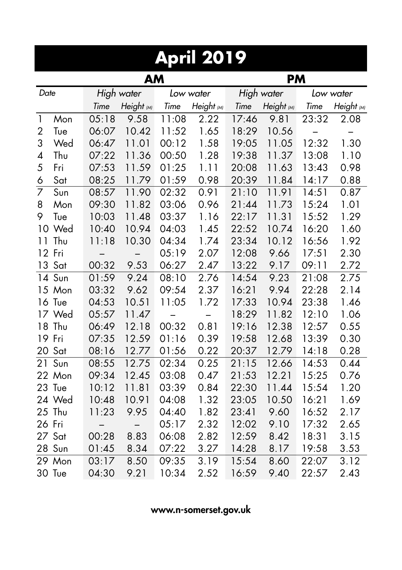|                | <b>April 2019</b> |                          |                          |       |            |       |            |       |            |  |  |  |  |
|----------------|-------------------|--------------------------|--------------------------|-------|------------|-------|------------|-------|------------|--|--|--|--|
|                | AM<br><b>PM</b>   |                          |                          |       |            |       |            |       |            |  |  |  |  |
| Date           |                   | High water               |                          |       | Low water  |       | High water |       | Low water  |  |  |  |  |
|                |                   | Time                     | Height (M)               | Time  | Height (M) | Time  | Height (M) | Time  | Height (M) |  |  |  |  |
| $\mathbf{1}$   | Mon               | 05:18                    | 9.58                     | 11:08 | 2.22       | 17:46 | 9.81       | 23:32 | 2.08       |  |  |  |  |
| $\overline{2}$ | Tue               | 06:07                    | 10.42                    | 11:52 | 1.65       | 18:29 | 10.56      |       |            |  |  |  |  |
| 3              | Wed               | 06:47                    | 11.01                    | 00:12 | 1.58       | 19:05 | 11.05      | 12:32 | 1.30       |  |  |  |  |
| 4              | Thu               | 07:22                    | 11.36                    | 00:50 | 1.28       | 19:38 | 11.37      | 13:08 | 1.10       |  |  |  |  |
| 5              | Fri               | 07:53                    | 11.59                    | 01:25 | 1.11       | 20:08 | 11.63      | 13:43 | 0.98       |  |  |  |  |
| 6              | Sat               | 08:25                    | 11.79                    | 01:59 | 0.98       | 20:39 | 11.84      | 14:17 | 0.88       |  |  |  |  |
| 7              | Sun               | 08:57                    | 11.90                    | 02:32 | 0.91       | 21:10 | 11.91      | 14:51 | 0.87       |  |  |  |  |
| 8              | Mon               | 09:30                    | 11.82                    | 03:06 | 0.96       | 21:44 | 11.73      | 15:24 | 1.01       |  |  |  |  |
| 9              | Tue               | 10:03                    | 11.48                    | 03:37 | 1.16       | 22:17 | 11.31      | 15:52 | 1.29       |  |  |  |  |
|                | 10 Wed            | 10:40                    | 10.94                    | 04:03 | 1.45       | 22:52 | 10.74      | 16:20 | 1.60       |  |  |  |  |
| 11             | Thu               | 11:18                    | 10.30                    | 04:34 | 1.74       | 23:34 | 10.12      | 16:56 | 1.92       |  |  |  |  |
|                | 12 Fri            | $\overline{\phantom{0}}$ | $\overline{\phantom{0}}$ | 05:19 | 2.07       | 12:08 | 9.66       | 17:51 | 2.30       |  |  |  |  |
|                | 13 Sat            | 00:32                    | 9.53                     | 06:27 | 2.47       | 13:22 | 9.17       | 09:11 | 2.72       |  |  |  |  |
|                | 14 Sun            | 01:59                    | 9.24                     | 08:10 | 2.76       | 14:54 | 9.23       | 21:08 | 2.75       |  |  |  |  |
|                | 15 Mon            | 03:32                    | 9.62                     | 09:54 | 2.37       | 16:21 | 9.94       | 22:28 | 2.14       |  |  |  |  |
|                | 16 Tue            | 04:53                    | 10.51                    | 11:05 | 1.72       | 17:33 | 10.94      | 23:38 | 1.46       |  |  |  |  |
|                | 17 Wed            | 05:57                    | 11.47                    |       |            | 18:29 | 11.82      | 12:10 | 1.06       |  |  |  |  |
| 18             | Thu               | 06:49                    | 12.18                    | 00:32 | 0.81       | 19:16 | 12.38      | 12:57 | 0.55       |  |  |  |  |
| 19             | Fri               | 07:35                    | 12.59                    | 01:16 | 0.39       | 19:58 | 12.68      | 13:39 | 0.30       |  |  |  |  |
| 20             | Sat               | 08:16                    | 12.77                    | 01:56 | 0.22       | 20:37 | 12.79      | 14:18 | 0.28       |  |  |  |  |
| 21             | Sun               | 08:55                    | 12.75                    | 02:34 | 0.25       | 21:15 | 12.66      | 14:53 | 0.44       |  |  |  |  |
| 22             | Mon               | 09:34                    | 12.45                    | 03:08 | 0.47       | 21:53 | 12.21      | 15:25 | 0.76       |  |  |  |  |
| 23             | Tue               | 10:12                    | 11.81                    | 03:39 | 0.84       | 22:30 | 11.44      | 15:54 | 1.20       |  |  |  |  |
|                | 24 Wed            | 10:48                    | 10.91                    | 04:08 | 1.32       | 23:05 | 10.50      | 16:21 | 1.69       |  |  |  |  |
| 25             | Thu               | 11:23                    | 9.95                     | 04:40 | 1.82       | 23:41 | 9.60       | 16:52 | 2.17       |  |  |  |  |
| 26 Fri         |                   | —                        |                          | 05:17 | 2.32       | 12:02 | 9.10       | 17:32 | 2.65       |  |  |  |  |
| 27             | Sat               | 00:28                    | 8.83                     | 06:08 | 2.82       | 12:59 | 8.42       | 18:31 | 3.15       |  |  |  |  |
| 28             | Sun               | 01:45                    | 8.34                     | 07:22 | 3.27       | 14:28 | 8.17       | 19:58 | 3.53       |  |  |  |  |
| 29             | Mon               | 03:17                    | 8.50                     | 09:35 | 3.19       | 15:54 | 8.60       | 22:07 | 3.12       |  |  |  |  |
|                | 30 Tue            | 04:30                    | 9.21                     | 10:34 | 2.52       | 16:59 | 9.40       | 22:57 | 2.43       |  |  |  |  |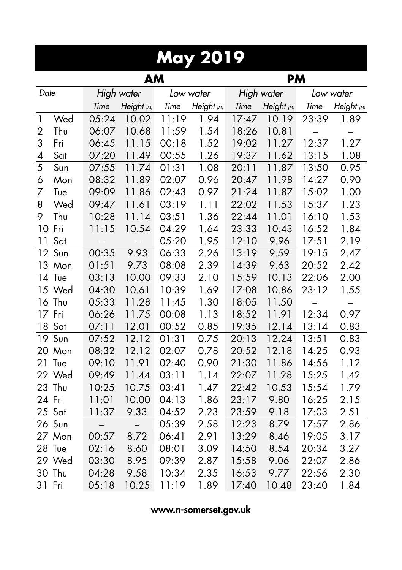| <b>May 2019</b> |        |                          |                          |       |            |       |            |       |            |  |  |
|-----------------|--------|--------------------------|--------------------------|-------|------------|-------|------------|-------|------------|--|--|
|                 |        |                          | <b>AM</b>                |       |            |       | <b>PM</b>  |       |            |  |  |
| Date            |        | High water               |                          |       | Low water  |       | High water |       | Low water  |  |  |
|                 |        | Time                     | Height (M)               | Time  | Height (M) | Time  | Height (M) | Time  | Height (M) |  |  |
| $\mathbf{1}$    | Wed    | 05:24                    | 10.02                    | 11:19 | 1.94       | 17:47 | 10.19      | 23:39 | 1.89       |  |  |
| $\overline{2}$  | Thu    | 06:07                    | 10.68                    | 11:59 | 1.54       | 18:26 | 10.81      |       |            |  |  |
| 3               | Fri    | 06:45                    | 11.15                    | 00:18 | 1.52       | 19:02 | 11.27      | 12:37 | 1.27       |  |  |
| 4               | Sat    | 07:20                    | 11.49                    | 00:55 | 1.26       | 19:37 | 11.62      | 13:15 | 1.08       |  |  |
| 5               | Sun    | 07:55                    | 11.74                    | 01:31 | 1.08       | 20:11 | 11.87      | 13:50 | 0.95       |  |  |
| 6               | Mon    | 08:32                    | 11.89                    | 02:07 | 0.96       | 20:47 | 11.98      | 14:27 | 0.90       |  |  |
| 7               | Tue    | 09:09                    | 11.86                    | 02:43 | 0.97       | 21:24 | 11.87      | 15:02 | 1.00       |  |  |
| 8               | Wed    | 09:47                    | 11.61                    | 03:19 | 1.11       | 22:02 | 11.53      | 15:37 | 1.23       |  |  |
| 9               | Thu    | 10:28                    | 11.14                    | 03:51 | 1.36       | 22:44 | 11.01      | 16:10 | 1.53       |  |  |
| 10              | Fri    | 11:15                    | 10.54                    | 04:29 | 1.64       | 23:33 | 10.43      | 16:52 | 1.84       |  |  |
| 11              | Sat    |                          |                          | 05:20 | 1.95       | 12:10 | 9.96       | 17:51 | 2.19       |  |  |
| 12              | Sun    | 00:35                    | 9.93                     | 06:33 | 2.26       | 13:19 | 9.59       | 19:15 | 2.47       |  |  |
|                 | 13 Mon | 01:51                    | 9.73                     | 08:08 | 2.39       | 14:39 | 9.63       | 20:52 | 2.42       |  |  |
|                 | 14 Tue | 03:13                    | 10.00                    | 09:33 | 2.10       | 15:59 | 10.13      | 22:06 | 2.00       |  |  |
|                 | 15 Wed | 04:30                    | 10.61                    | 10:39 | 1.69       | 17:08 | 10.86      | 23:12 | 1.55       |  |  |
|                 | 16 Thu | 05:33                    | 11.28                    | 11:45 | 1.30       | 18:05 | 11.50      |       |            |  |  |
|                 | 17 Fri | 06:26                    | 11.75                    | 00:08 | 1.13       | 18:52 | 11.91      | 12:34 | 0.97       |  |  |
| 18              | Sat    | 07:11                    | 12.01                    | 00:52 | 0.85       | 19:35 | 12.14      | 13:14 | 0.83       |  |  |
|                 | 19 Sun | 07:52                    | 12.12                    | 01:31 | 0.75       | 20:13 | 12.24      | 13:51 | 0.83       |  |  |
|                 | 20 Mon | 08:32                    | 12.12                    | 02:07 | 0.78       | 20:52 | 12.18      | 14:25 | 0.93       |  |  |
| 21              | Tue    | 09:10                    | 11.91                    | 02:40 | 0.90       | 21:30 | 11.86      | 14:56 | 1.12       |  |  |
|                 | 22 Wed | 09:49                    | 11.44                    | 03:11 | 1.14       | 22:07 | 11.28      | 15:25 | 1.42       |  |  |
| 23              | Thu    | 10:25                    | 10.75                    | 03:41 | 1.47       | 22:42 | 10.53      | 15:54 | 1.79       |  |  |
| 24 Fri          |        | 11:01                    | 10.00                    | 04:13 | 1.86       | 23:17 | 9.80       | 16:25 | 2.15       |  |  |
|                 | 25 Sat | 11:37                    | 9.33                     | 04:52 | 2.23       | 23:59 | 9.18       | 17:03 | 2.51       |  |  |
| 26              | Sun    | $\overline{\phantom{0}}$ | $\overline{\phantom{0}}$ | 05:39 | 2.58       | 12:23 | 8.79       | 17:57 | 2.86       |  |  |
|                 | 27 Mon | 00:57                    | 8.72                     | 06:41 | 2.91       | 13:29 | 8.46       | 19:05 | 3.17       |  |  |
| 28              | Tue    | 02:16                    | 8.60                     | 08:01 | 3.09       | 14:50 | 8.54       | 20:34 | 3.27       |  |  |
| 29              | Wed    | 03:30                    | 8.95                     | 09:39 | 2.87       | 15:58 | 9.06       | 22:07 | 2.86       |  |  |
| 30              | Thu    | 04:28                    | 9.58                     | 10:34 | 2.35       | 16:53 | 9.77       | 22:56 | 2.30       |  |  |
| 31              | Fri    | 05:18                    | 10.25                    | 11:19 | 1.89       | 17:40 | 10.48      | 23:40 | 1.84       |  |  |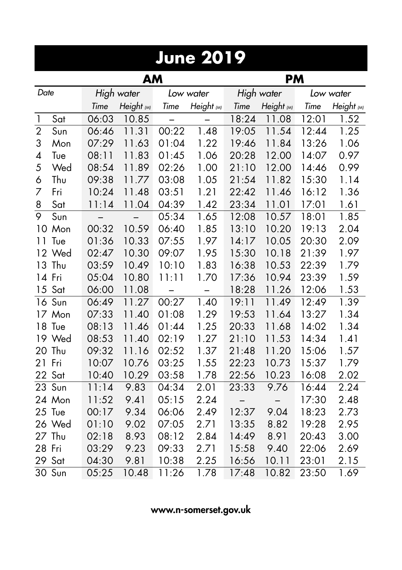|                | June 2019 |            |            |       |            |       |            |       |            |  |  |
|----------------|-----------|------------|------------|-------|------------|-------|------------|-------|------------|--|--|
|                |           |            | <b>AM</b>  |       |            |       | <b>PM</b>  |       |            |  |  |
| Date           |           | High water |            |       | Low water  |       | High water |       | Low water  |  |  |
|                |           | Time       | Height (M) | Time  | Height (M) | Time  | Height (M) | Time  | Height (M) |  |  |
| 1              | Sat       | 06:03      | 10.85      |       |            | 18:24 | 11.08      | 12:01 | 1.52       |  |  |
| $\overline{2}$ | Sun       | 06:46      | 11.31      | 00:22 | 1.48       | 19:05 | 11.54      | 12:44 | 1.25       |  |  |
| 3              | Mon       | 07:29      | 11.63      | 01:04 | 1.22       | 19:46 | 11.84      | 13:26 | 1.06       |  |  |
| 4              | Tue       | 08:11      | 11.83      | 01:45 | 1.06       | 20:28 | 12.00      | 14:07 | 0.97       |  |  |
| 5              | Wed       | 08:54      | 11.89      | 02:26 | 1.00       | 21:10 | 12.00      | 14:46 | 0.99       |  |  |
| 6              | Thu       | 09:38      | 11.77      | 03:08 | 1.05       | 21:54 | 11.82      | 15:30 | 1.14       |  |  |
| 7              | Fri       | 10:24      | 11.48      | 03:51 | 1.21       | 22:42 | 11.46      | 16:12 | 1.36       |  |  |
| 8              | Sat       | 11:14      | 11.04      | 04:39 | 1.42       | 23:34 | 11.01      | 17:01 | 1.61       |  |  |
| 9              | Sun       |            |            | 05:34 | 1.65       | 12:08 | 10.57      | 18:01 | 1.85       |  |  |
|                | 10 Mon    | 00:32      | 10.59      | 06:40 | 1.85       | 13:10 | 10.20      | 19:13 | 2.04       |  |  |
| 11             | Tue       | 01:36      | 10.33      | 07:55 | 1.97       | 14:17 | 10.05      | 20:30 | 2.09       |  |  |
|                | 12 Wed    | 02:47      | 10.30      | 09:07 | 1.95       | 15:30 | 10.18      | 21:39 | 1.97       |  |  |
| 13             | Thu       | 03:59      | 10.49      | 10:10 | 1.83       | 16:38 | 10.53      | 22:39 | 1.79       |  |  |
|                | 14 Fri    | 05:04      | 10.80      | 11:11 | 1.70       | 17:36 | 10.94      | 23:39 | 1.59       |  |  |
|                | 15 Sat    | 06:00      | 11.08      | —     |            | 18:28 | 11.26      | 12:06 | 1.53       |  |  |
|                | 16 Sun    | 06:49      | 11.27      | 00:27 | 1.40       | 19:11 | 11.49      | 12:49 | 1.39       |  |  |
|                | 17 Mon    | 07:33      | 11.40      | 01:08 | 1.29       | 19:53 | 11.64      | 13:27 | 1.34       |  |  |
| 18             | Tue       | 08:13      | 11.46      | 01:44 | 1.25       | 20:33 | 11.68      | 14:02 | 1.34       |  |  |
|                | 19 Wed    | 08:53      | 11.40      | 02:19 | 1.27       | 21:10 | 11.53      | 14:34 | 1.41       |  |  |
| 20             | Thu       | 09:32      | 11.16      | 02:52 | 1.37       | 21:48 | 11.20      | 15:06 | 1.57       |  |  |
| 21             | Fri       | 10:07      | 10.76      | 03:25 | 1.55       | 22:23 | 10.73      | 15:37 | 1.79       |  |  |
| 22             | Sat       | 10:40      | 10.29      | 03:58 | 1.78       | 22:56 | 10.23      | 16:08 | 2.02       |  |  |
| 23             | Sun       | 11:14      | 9.83       | 04:34 | 2.01       | 23:33 | 9.76       | 16:44 | 2.24       |  |  |
|                | 24 Mon    | 11:52      | 9.41       | 05:15 | 2.24       |       |            | 17:30 | 2.48       |  |  |
|                | 25 Tue    | 00:17      | 9.34       | 06:06 | 2.49       | 12:37 | 9.04       | 18:23 | 2.73       |  |  |
|                | 26 Wed    | 01:10      | 9.02       | 07:05 | 2.71       | 13:35 | 8.82       | 19:28 | 2.95       |  |  |
| 27             | Thu       | 02:18      | 8.93       | 08:12 | 2.84       | 14:49 | 8.91       | 20:43 | 3.00       |  |  |
| 28             | Fri       | 03:29      | 9.23       | 09:33 | 2.71       | 15:58 | 9.40       | 22:06 | 2.69       |  |  |
| 29             | Sat       | 04:30      | 9.81       | 10:38 | 2.25       | 16:56 | 10.11      | 23:01 | 2.15       |  |  |
|                | 30 Sun    | 05:25      | 10.48      | 11:26 | 1.78       | 17:48 | 10.82      | 23:50 | 1.69       |  |  |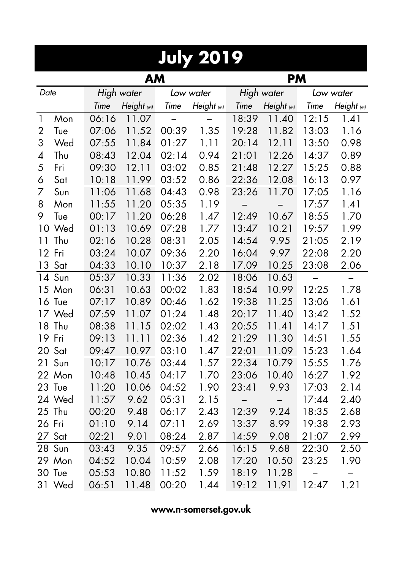|                | <b>July 2019</b> |       |            |       |            |       |            |       |            |  |  |  |  |
|----------------|------------------|-------|------------|-------|------------|-------|------------|-------|------------|--|--|--|--|
|                |                  |       | AM         |       |            |       | <b>PM</b>  |       |            |  |  |  |  |
| Date           |                  |       | High water |       | Low water  |       | High water |       | Low water  |  |  |  |  |
|                |                  | Time  | Height (M) | Time  | Height (M) | Time  | Height (M) | Time  | Height (M) |  |  |  |  |
| $\mathbf{1}$   | Mon              | 06:16 | 11.07      |       |            | 18:39 | 11.40      | 12:15 | 1.41       |  |  |  |  |
| 2              | Tue              | 07:06 | 11.52      | 00:39 | 1.35       | 19:28 | 11.82      | 13:03 | 1.16       |  |  |  |  |
| 3              | Wed              | 07:55 | 11.84      | 01:27 | 1.11       | 20:14 | 12.11      | 13:50 | 0.98       |  |  |  |  |
| 4              | Thu              | 08:43 | 12.04      | 02:14 | 0.94       | 21:01 | 12.26      | 14:37 | 0.89       |  |  |  |  |
| 5              | Fri              | 09:30 | 12.11      | 03:02 | 0.85       | 21:48 | 12.27      | 15:25 | 0.88       |  |  |  |  |
| 6              | Sat              | 10:18 | 11.99      | 03:52 | 0.86       | 22:36 | 12.08      | 16:13 | 0.97       |  |  |  |  |
| $\overline{7}$ | Sun              | 11:06 | 11.68      | 04:43 | 0.98       | 23:26 | 11.70      | 17:05 | 1.16       |  |  |  |  |
| 8              | Mon              | 11:55 | 11.20      | 05:35 | 1.19       |       |            | 17:57 | 1.41       |  |  |  |  |
| 9              | Tue              | 00:17 | 11.20      | 06:28 | 1.47       | 12:49 | 10.67      | 18:55 | 1.70       |  |  |  |  |
| 10             | Wed              | 01:13 | 10.69      | 07:28 | 1.77       | 13:47 | 10.21      | 19:57 | 1.99       |  |  |  |  |
| 11             | Thu              | 02:16 | 10.28      | 08:31 | 2.05       | 14:54 | 9.95       | 21:05 | 2.19       |  |  |  |  |
|                | 12 Fri           | 03:24 | 10.07      | 09:36 | 2.20       | 16:04 | 9.97       | 22:08 | 2.20       |  |  |  |  |
| 13             | Sat              | 04:33 | 10.10      | 10:37 | 2.18       | 17.09 | 10.25      | 23:08 | 2.06       |  |  |  |  |
|                | 14 Sun           | 05:37 | 10.33      | 11:36 | 2.02       | 18:06 | 10.63      |       |            |  |  |  |  |
|                | 15 Mon           | 06:31 | 10.63      | 00:02 | 1.83       | 18:54 | 10.99      | 12:25 | 1.78       |  |  |  |  |
|                | 16 Tue           | 07:17 | 10.89      | 00:46 | 1.62       | 19:38 | 11.25      | 13:06 | 1.61       |  |  |  |  |
|                | 17 Wed           | 07:59 | 11.07      | 01:24 | 1.48       | 20:17 | 11.40      | 13:42 | 1.52       |  |  |  |  |
|                | 18 Thu           | 08:38 | 11.15      | 02:02 | 1.43       | 20:55 | 11.41      | 14:17 | 1.51       |  |  |  |  |
|                | 19 Fri           | 09:13 | 11.11      | 02:36 | 1.42       | 21:29 | 11.30      | 14:51 | 1.55       |  |  |  |  |
|                | 20 Sat           | 09:47 | 10.97      | 03:10 | 1.47       | 22:01 | 11.09      | 15:23 | 1.64       |  |  |  |  |
| 21             | Sun              | 10:17 | 10.76      | 03:44 | 1.57       | 22:34 | 10.79      | 15:55 | 1.76       |  |  |  |  |
|                | 22 Mon           | 10:48 | 10.45      | 04:17 | 1.70       | 23:06 | 10.40      | 16:27 | 1.92       |  |  |  |  |
| 23             | Tue              | 11:20 | 10.06      | 04:52 | 1.90       | 23:41 | 9.93       | 17:03 | 2.14       |  |  |  |  |
|                | 24 Wed           | 11:57 | 9.62       | 05:31 | 2.15       |       |            | 17:44 | 2.40       |  |  |  |  |
| 25             | Thu              | 00:20 | 9.48       | 06:17 | 2.43       | 12:39 | 9.24       | 18:35 | 2.68       |  |  |  |  |
| 26 Fri         |                  | 01:10 | 9.14       | 07:11 | 2.69       | 13:37 | 8.99       | 19:38 | 2.93       |  |  |  |  |
| 27             | Sat              | 02:21 | 9.01       | 08:24 | 2.87       | 14:59 | 9.08       | 21:07 | 2.99       |  |  |  |  |
| 28             | Sun              | 03:43 | 9.35       | 09:57 | 2.66       | 16:15 | 9.68       | 22:30 | 2.50       |  |  |  |  |
|                | 29 Mon           | 04:52 | 10.04      | 10:59 | 2.08       | 17:20 | 10.50      | 23:25 | 1.90       |  |  |  |  |
| 30             | Tue              | 05:53 | 10.80      | 11:52 | 1.59       | 18:19 | 11.28      |       |            |  |  |  |  |
| 31             | Wed              | 06:51 | 11.48      | 00:20 | 1.44       | 19:12 | 11.91      | 12:47 | 1.21       |  |  |  |  |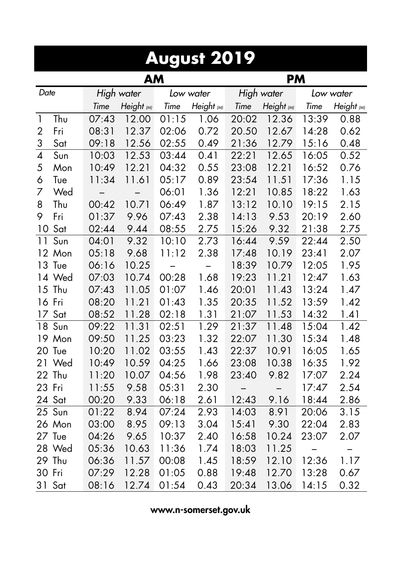|                          | August 2019            |       |            |                          |            |       |            |       |                   |  |  |  |  |
|--------------------------|------------------------|-------|------------|--------------------------|------------|-------|------------|-------|-------------------|--|--|--|--|
|                          | <b>AM</b><br><b>PM</b> |       |            |                          |            |       |            |       |                   |  |  |  |  |
| Date                     |                        |       | High water |                          | Low water  |       | High water |       | Low water         |  |  |  |  |
|                          |                        | Time  | Height (M) | Time                     | Height (M) | Time  | Height (M) | Time  | Height (M)        |  |  |  |  |
| $\mathbf{1}$             | Thu                    | 07:43 | 12.00      | 01:15                    | 1.06       | 20:02 | 12.36      | 13:39 | 0.88              |  |  |  |  |
| $\overline{2}$           | Fri                    | 08:31 | 12.37      | 02:06                    | 0.72       | 20.50 | 12.67      | 14:28 | 0.62              |  |  |  |  |
| 3                        | Sat                    | 09:18 | 12.56      | 02:55                    | 0.49       | 21:36 | 12.79      | 15:16 | 0.48              |  |  |  |  |
| $\overline{\mathcal{A}}$ | Sun                    | 10:03 | 12.53      | 03:44                    | 0.41       | 22:21 | 12.65      | 16:05 | 0.52              |  |  |  |  |
| 5                        | Mon                    | 10:49 | 12.21      | 04:32                    | 0.55       | 23:08 | 12.21      | 16:52 | 0.76              |  |  |  |  |
| 6                        | Tue                    | 11:34 | 11.61      | 05:17                    | 0.89       | 23:54 | 11.51      | 17:36 | 1.15              |  |  |  |  |
| 7                        | Wed                    |       |            | 06:01                    | 1.36       | 12:21 | 10.85      | 18:22 | 1.63              |  |  |  |  |
| 8                        | Thu                    | 00:42 | 10.71      | 06:49                    | 1.87       | 13:12 | 10.10      | 19:15 | 2.15              |  |  |  |  |
| 9                        | Fri                    | 01:37 | 9.96       | 07:43                    | 2.38       | 14:13 | 9.53       | 20:19 | 2.60              |  |  |  |  |
| 10                       | Sat                    | 02:44 | 9.44       | 08:55                    | 2.75       | 15:26 | 9.32       | 21:38 | 2.75              |  |  |  |  |
| 11                       | Sun                    | 04:01 | 9.32       | 10:10                    | 2.73       | 16:44 | 9.59       | 22:44 | 2.50              |  |  |  |  |
|                          | 12 Mon                 | 05:18 | 9.68       | 11:12                    | 2.38       | 17:48 | 10.19      | 23:41 | 2.07              |  |  |  |  |
|                          | 13 Tue                 | 06:16 | 10.25      | $\overline{\phantom{0}}$ |            | 18:39 | 10.79      | 12:05 | 1.95              |  |  |  |  |
|                          | 14 Wed                 | 07:03 | 10.74      | 00:28                    | 1.68       | 19:23 | 11.21      | 12:47 | 1.63              |  |  |  |  |
|                          | 15 Thu                 | 07:43 | 11.05      | 01:07                    | 1.46       | 20:01 | 11.43      | 13:24 | 1.47              |  |  |  |  |
|                          | 16 Fri                 | 08:20 | 11.21      | 01:43                    | 1.35       | 20:35 | 11.52      | 13:59 | 1.42              |  |  |  |  |
|                          | 17 Sat                 | 08:52 | 11.28      | 02:18                    | 1.31       | 21:07 | 11.53      | 14:32 | 1.41              |  |  |  |  |
|                          | 18 Sun                 | 09:22 | 11.31      | 02:51                    | 1.29       | 21:37 | 11.48      | 15:04 | 1.42              |  |  |  |  |
|                          | 19 Mon                 | 09:50 | 11.25      | 03:23                    | 1.32       | 22:07 | 11.30      | 15:34 | 1.48              |  |  |  |  |
|                          | 20 Tue                 | 10:20 | 11.02      | 03:55                    | 1.43       | 22:37 | 10.91      | 16:05 | 1.65              |  |  |  |  |
| 21                       | Wed                    | 10:49 | 10.59      | 04:25                    | 1.66       | 23:08 | 10.38      | 16:35 | 1.92              |  |  |  |  |
|                          | 22 Thu                 | 11:20 | 10.07      | 04:56                    | 1.98       | 23:40 | 9.82       | 17:07 | 2.24              |  |  |  |  |
| 23 Fri                   |                        | 11:55 | 9.58       | 05:31                    | 2.30       |       |            | 17:47 | 2.54              |  |  |  |  |
|                          | 24 Sat                 | 00:20 | 9.33       | 06:18                    | 2.61       | 12:43 | 9.16       | 18:44 | 2.86              |  |  |  |  |
| 25                       | Sun                    | 01:22 | 8.94       | 07:24                    | 2.93       | 14:03 | 8.91       | 20:06 | 3.15              |  |  |  |  |
|                          | 26 Mon                 | 03:00 | 8.95       | 09:13                    | 3.04       | 15:41 | 9.30       | 22:04 | 2.83              |  |  |  |  |
|                          | 27 Tue                 | 04:26 | 9.65       | 10:37                    | 2.40       | 16:58 | 10.24      | 23:07 | 2.07              |  |  |  |  |
| 28                       | Wed                    | 05:36 | 10.63      | 11:36                    | 1.74       | 18:03 | 11.25      | —     | $\qquad \qquad -$ |  |  |  |  |
| 29                       | Thu                    | 06:36 | 11.57      | 00:08                    | 1.45       | 18:59 | 12.10      | 12:36 | 1.17              |  |  |  |  |
| 30                       | Fri                    | 07:29 | 12.28      | 01:05                    | 0.88       | 19:48 | 12.70      | 13:28 | 0.67              |  |  |  |  |
| 31                       | Sat                    | 08:16 | 12.74      | 01:54                    | 0.43       | 20:34 | 13.06      | 14:15 | 0.32              |  |  |  |  |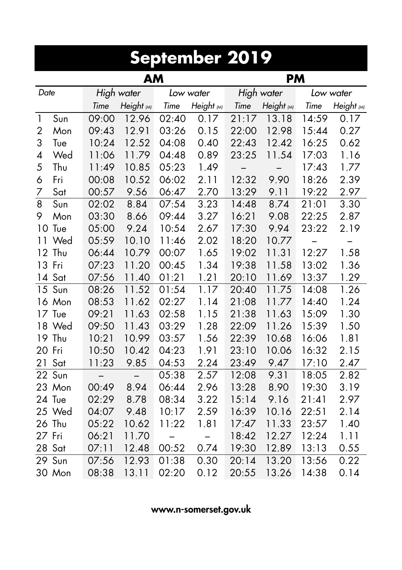| September 2019 |                        |            |            |                          |            |       |            |       |            |  |  |  |  |  |
|----------------|------------------------|------------|------------|--------------------------|------------|-------|------------|-------|------------|--|--|--|--|--|
|                | <b>AM</b><br><b>PM</b> |            |            |                          |            |       |            |       |            |  |  |  |  |  |
| Date           |                        | High water |            |                          | Low water  |       | High water |       | Low water  |  |  |  |  |  |
|                |                        | Time       | Height (M) | Time                     | Height (M) | Time  | Height (M) | Time  | Height (M) |  |  |  |  |  |
| $\mathbf{1}$   | Sun                    | 09:00      | 12.96      | 02:40                    | 0.17       | 21:17 | 13.18      | 14:59 | 0.17       |  |  |  |  |  |
| $\overline{2}$ | Mon                    | 09:43      | 12.91      | 03:26                    | 0.15       | 22:00 | 12.98      | 15:44 | 0.27       |  |  |  |  |  |
| 3              | Tue                    | 10:24      | 12.52      | 04:08                    | 0.40       | 22:43 | 12.42      | 16:25 | 0.62       |  |  |  |  |  |
| 4              | Wed                    | 11:06      | 11.79      | 04:48                    | 0.89       | 23:25 | 11.54      | 17:03 | 1.16       |  |  |  |  |  |
| 5              | Thu                    | 11:49      | 10.85      | 05:23                    | 1.49       |       |            | 17:43 | 1.77       |  |  |  |  |  |
| 6              | Fri                    | 00:08      | 10.52      | 06:02                    | 2.11       | 12:32 | 9.90       | 18:26 | 2.39       |  |  |  |  |  |
| 7              | Sat                    | 00:57      | 9.56       | 06:47                    | 2.70       | 13:29 | 9.11       | 19:22 | 2.97       |  |  |  |  |  |
| 8              | Sun                    | 02:02      | 8.84       | 07:54                    | 3.23       | 14:48 | 8.74       | 21:01 | 3.30       |  |  |  |  |  |
| 9              | Mon                    | 03:30      | 8.66       | 09:44                    | 3.27       | 16:21 | 9.08       | 22:25 | 2.87       |  |  |  |  |  |
|                | 10 Tue                 | 05:00      | 9.24       | 10:54                    | 2.67       | 17:30 | 9.94       | 23:22 | 2.19       |  |  |  |  |  |
| 11             | Wed                    | 05:59      | 10.10      | 11:46                    | 2.02       | 18:20 | 10.77      | -     | —          |  |  |  |  |  |
|                | 12 Thu                 | 06:44      | 10.79      | 00:07                    | 1.65       | 19:02 | 11.31      | 12:27 | 1.58       |  |  |  |  |  |
|                | 13 Fri                 | 07:23      | 11.20      | 00:45                    | 1.34       | 19:38 | 11.58      | 13:02 | 1.36       |  |  |  |  |  |
|                | 14 Sat                 | 07:56      | 11.40      | 01:21                    | 1.21       | 20:10 | 11.69      | 13:37 | 1.29       |  |  |  |  |  |
|                | 15 Sun                 | 08:26      | 11.52      | 01:54                    | 1.17       | 20:40 | 11.75      | 14:08 | 1.26       |  |  |  |  |  |
|                | 16 Mon                 | 08:53      | 11.62      | 02:27                    | 1.14       | 21:08 | 11.77      | 14:40 | 1.24       |  |  |  |  |  |
|                | 17 Tue                 | 09:21      | 11.63      | 02:58                    | 1.15       | 21:38 | 11.63      | 15:09 | 1.30       |  |  |  |  |  |
| 18             | Wed                    | 09:50      | 11.43      | 03:29                    | 1.28       | 22:09 | 11.26      | 15:39 | 1.50       |  |  |  |  |  |
| 19             | Thu                    | 10:21      | 10.99      | 03:57                    | 1.56       | 22:39 | 10.68      | 16:06 | 1.81       |  |  |  |  |  |
| 20             | Fri                    | 10:50      | 10.42      | 04:23                    | 1.91       | 23:10 | 10.06      | 16:32 | 2.15       |  |  |  |  |  |
| 21             | Sat                    | 11:23      | 9.85       | 04:53                    | 2.24       | 23:49 | 9.47       | 17:10 | 2.47       |  |  |  |  |  |
| 22             | Sun                    |            |            | 05:38                    | 2.57       | 12:08 | 9.31       | 18:05 | 2.82       |  |  |  |  |  |
| 23             | Mon                    | 00:49      | 8.94       | 06:44                    | 2.96       | 13:28 | 8.90       | 19:30 | 3.19       |  |  |  |  |  |
|                | 24 Tue                 | 02:29      | 8.78       | 08:34                    | 3.22       | 15:14 | 9.16       | 21:41 | 2.97       |  |  |  |  |  |
|                | 25 Wed                 | 04:07      | 9.48       | 10:17                    | 2.59       | 16:39 | 10.16      | 22:51 | 2.14       |  |  |  |  |  |
|                | 26 Thu                 | 05:22      | 10.62      | 11:22                    | 1.81       | 17:47 | 11.33      | 23:57 | 1.40       |  |  |  |  |  |
| 27             | Fri                    | 06:21      | 11.70      | $\overline{\phantom{0}}$ |            | 18:42 | 12.27      | 12:24 | 1.11       |  |  |  |  |  |
| 28             | Sat                    | 07:11      | 12.48      | 00:52                    | 0.74       | 19:30 | 12.89      | 13:13 | 0.55       |  |  |  |  |  |
| 29             | Sun                    | 07:56      | 12.93      | 01:38                    | 0.30       | 20:14 | 13.20      | 13:56 | 0.22       |  |  |  |  |  |
|                | 30 Mon                 | 08:38      | 13.11      | 02:20                    | 0.12       | 20:55 | 13.26      | 14:38 | 0.14       |  |  |  |  |  |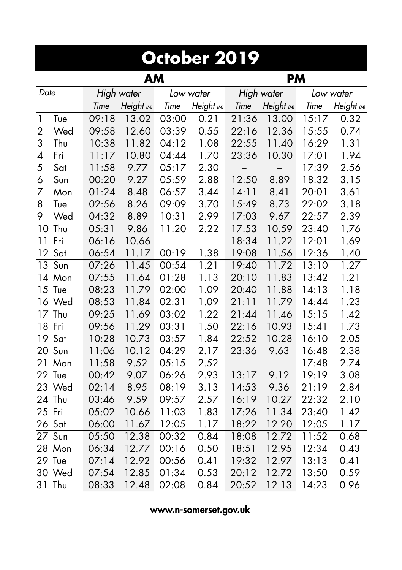|                 | October 2019    |       |            |       |            |       |            |       |            |  |  |  |  |
|-----------------|-----------------|-------|------------|-------|------------|-------|------------|-------|------------|--|--|--|--|
|                 | AM<br><b>PM</b> |       |            |       |            |       |            |       |            |  |  |  |  |
| Date            |                 |       | High water |       | Low water  |       | High water |       | Low water  |  |  |  |  |
|                 |                 | Time  | Height (M) | Time  | Height (M) | Time  | Height (M) | Time  | Height (M) |  |  |  |  |
| $\mathbf{1}$    | Tue             | 09:18 | 13.02      | 03:00 | 0.21       | 21:36 | 13.00      | 15:17 | 0.32       |  |  |  |  |
| $\overline{2}$  | Wed             | 09:58 | 12.60      | 03:39 | 0.55       | 22:16 | 12.36      | 15:55 | 0.74       |  |  |  |  |
| 3               | Thu             | 10:38 | 11.82      | 04:12 | 1.08       | 22:55 | 11.40      | 16:29 | 1.31       |  |  |  |  |
| 4               | Fri             | 11:17 | 10.80      | 04:44 | 1.70       | 23:36 | 10.30      | 17:01 | 1.94       |  |  |  |  |
| 5               | Sat             | 11:58 | 9.77       | 05:17 | 2.30       |       |            | 17:39 | 2.56       |  |  |  |  |
| 6               | Sun             | 00:20 | 9.27       | 05:59 | 2.88       | 12:50 | 8.89       | 18:32 | 3.15       |  |  |  |  |
| 7               | Mon             | 01:24 | 8.48       | 06:57 | 3.44       | 14:11 | 8.41       | 20:01 | 3.61       |  |  |  |  |
| 8               | Tue             | 02:56 | 8.26       | 09:09 | 3.70       | 15:49 | 8.73       | 22:02 | 3.18       |  |  |  |  |
| 9               | Wed             | 04:32 | 8.89       | 10:31 | 2.99       | 17:03 | 9.67       | 22:57 | 2.39       |  |  |  |  |
| 10              | Thu             | 05:31 | 9.86       | 11:20 | 2.22       | 17:53 | 10.59      | 23:40 | 1.76       |  |  |  |  |
| 11              | Fri             | 06:16 | 10.66      |       |            | 18:34 | 11.22      | 12:01 | 1.69       |  |  |  |  |
| 12 <sup>°</sup> | Sat             | 06:54 | 11.17      | 00:19 | 1.38       | 19:08 | 11.56      | 12:36 | 1.40       |  |  |  |  |
| 13              | Sun             | 07:26 | 11.45      | 00:54 | 1.21       | 19:40 | 11.72      | 13:10 | 1.27       |  |  |  |  |
|                 | 14 Mon          | 07:55 | 11.64      | 01:28 | 1.13       | 20:10 | 11.83      | 13:42 | 1.21       |  |  |  |  |
|                 | 15 Tue          | 08:23 | 11.79      | 02:00 | 1.09       | 20:40 | 11.88      | 14:13 | 1.18       |  |  |  |  |
|                 | 16 Wed          | 08:53 | 11.84      | 02:31 | 1.09       | 21:11 | 11.79      | 14:44 | 1.23       |  |  |  |  |
|                 | 17 Thu          | 09:25 | 11.69      | 03:02 | 1.22       | 21:44 | 11.46      | 15:15 | 1.42       |  |  |  |  |
|                 | 18 Fri          | 09:56 | 11.29      | 03:31 | 1.50       | 22:16 | 10.93      | 15:41 | 1.73       |  |  |  |  |
| 19              | Sat             | 10:28 | 10.73      | 03:57 | 1.84       | 22:52 | 10.28      | 16:10 | 2.05       |  |  |  |  |
|                 | 20 Sun          | 11:06 | 10.12      | 04:29 | 2.17       | 23:36 | 9.63       | 16:48 | 2.38       |  |  |  |  |
| 21              | Mon             | 11:58 | 9.52       | 05:15 | 2.52       |       |            | 17:48 | 2.74       |  |  |  |  |
|                 | 22 Tue          | 00:42 | 9.07       | 06:26 | 2.93       | 13:17 | 9.12       | 19:19 | 3.08       |  |  |  |  |
|                 | 23 Wed          | 02:14 | 8.95       | 08:19 | 3.13       | 14:53 | 9.36       | 21:19 | 2.84       |  |  |  |  |
|                 | 24 Thu          | 03:46 | 9.59       | 09:57 | 2.57       | 16:19 | 10.27      | 22:32 | 2.10       |  |  |  |  |
| 25              | Fri             | 05:02 | 10.66      | 11:03 | 1.83       | 17:26 | 11.34      | 23:40 | 1.42       |  |  |  |  |
|                 | 26 Sat          | 06:00 | 11.67      | 12:05 | 1.17       | 18:22 | 12.20      | 12:05 | 1.17       |  |  |  |  |
| 27              | Sun             | 05:50 | 12.38      | 00:32 | 0.84       | 18:08 | 12.72      | 11:52 | 0.68       |  |  |  |  |
|                 | 28 Mon          | 06:34 | 12.77      | 00:16 | 0.50       | 18:51 | 12.95      | 12:34 | 0.43       |  |  |  |  |
|                 | 29 Tue          | 07:14 | 12.92      | 00:56 | 0.41       | 19:32 | 12.97      | 13:13 | 0.41       |  |  |  |  |
| 30              | Wed             | 07:54 | 12.85      | 01:34 | 0.53       | 20:12 | 12.72      | 13:50 | 0.59       |  |  |  |  |
| 31              | Thu             | 08:33 | 12.48      | 02:08 | 0.84       | 20:52 | 12.13      | 14:23 | 0.96       |  |  |  |  |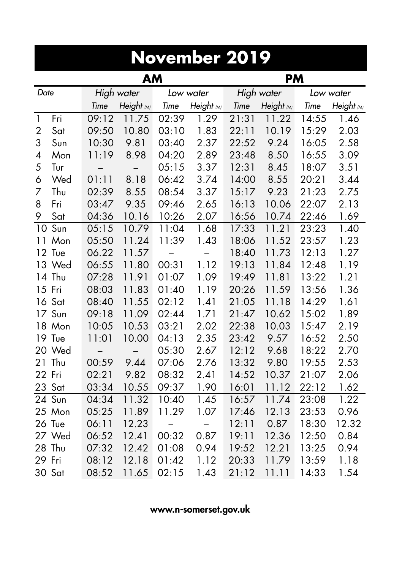|              | November 2019          |            |            |                          |            |       |            |       |            |  |  |  |  |
|--------------|------------------------|------------|------------|--------------------------|------------|-------|------------|-------|------------|--|--|--|--|
|              | <b>AM</b><br><b>PM</b> |            |            |                          |            |       |            |       |            |  |  |  |  |
| Date         |                        | High water |            |                          | Low water  |       | High water |       | Low water  |  |  |  |  |
|              |                        | Time       | Height (M) | Time                     | Height (M) | Time  | Height (M) | Time  | Height (M) |  |  |  |  |
| $\mathbf{1}$ | Fr                     | 09:12      | 11.75      | 02:39                    | 1.29       | 21:31 | 11.22      | 14:55 | 1.46       |  |  |  |  |
| 2            | Sat                    | 09:50      | 10.80      | 03:10                    | 1.83       | 22:11 | 10.19      | 15:29 | 2.03       |  |  |  |  |
| 3            | Sun                    | 10:30      | 9.81       | 03:40                    | 2.37       | 22:52 | 9.24       | 16:05 | 2.58       |  |  |  |  |
| 4            | Mon                    | 11:19      | 8.98       | 04:20                    | 2.89       | 23:48 | 8.50       | 16:55 | 3.09       |  |  |  |  |
| 5            | Tur                    |            |            | 05:15                    | 3.37       | 12:31 | 8.45       | 18:07 | 3.51       |  |  |  |  |
| 6            | Wed                    | 01:11      | 8.18       | 06:42                    | 3.74       | 14:00 | 8.55       | 20:21 | 3.44       |  |  |  |  |
| 7            | Thu                    | 02:39      | 8.55       | 08:54                    | 3.37       | 15:17 | 9.23       | 21:23 | 2.75       |  |  |  |  |
| 8            | Fri                    | 03:47      | 9.35       | 09:46                    | 2.65       | 16:13 | 10.06      | 22:07 | 2.13       |  |  |  |  |
| 9            | Sat                    | 04:36      | 10.16      | 10:26                    | 2.07       | 16:56 | 10.74      | 22:46 | 1.69       |  |  |  |  |
| 10           | Sun                    | 05:15      | 10.79      | 11:04                    | 1.68       | 17:33 | 11.21      | 23:23 | 1.40       |  |  |  |  |
| 11           | Mon                    | 05:50      | 11.24      | 11:39                    | 1.43       | 18:06 | 11.52      | 23:57 | 1.23       |  |  |  |  |
| 12           | Tue                    | 06.22      | 11.57      | $\overline{\phantom{0}}$ |            | 18:40 | 11.73      | 12:13 | 1.27       |  |  |  |  |
| 13           | Wed                    | 06:55      | 11.80      | 00:31                    | 1.12       | 19:13 | 11.84      | 12:48 | 1.19       |  |  |  |  |
|              | 14 Thu                 | 07:28      | 11.91      | 01:07                    | 1.09       | 19:49 | 11.81      | 13:22 | 1.21       |  |  |  |  |
|              | 15 Fri                 | 08:03      | 11.83      | 01:40                    | 1.19       | 20:26 | 11.59      | 13:56 | 1.36       |  |  |  |  |
|              | 16 Sat                 | 08:40      | 11.55      | 02:12                    | 1.41       | 21:05 | 11.18      | 14:29 | 1.61       |  |  |  |  |
|              | 17 Sun                 | 09:18      | 11.09      | 02:44                    | 1.71       | 21:47 | 10.62      | 15:02 | 1.89       |  |  |  |  |
|              | 18 Mon                 | 10:05      | 10.53      | 03:21                    | 2.02       | 22:38 | 10.03      | 15:47 | 2.19       |  |  |  |  |
|              | 19 Tue                 | 11:01      | 10.00      | 04:13                    | 2.35       | 23:42 | 9.57       | 16:52 | 2.50       |  |  |  |  |
|              | 20 Wed                 |            |            | 05:30                    | 2.67       | 12:12 | 9.68       | 18:22 | 2.70       |  |  |  |  |
| 21           | Thu                    | 00:59      | 9.44       | 07:06                    | 2.76       | 13:32 | 9.80       | 19:55 | 2.53       |  |  |  |  |
| 22           | Fri                    | 02:21      | 9.82       | 08:32                    | 2.41       | 14:52 | 10.37      | 21:07 | 2.06       |  |  |  |  |
|              | 23 Sat                 | 03:34      | 10.55      | 09:37                    | 1.90       | 16:01 | 11.12      | 22:12 | 1.62       |  |  |  |  |
|              | $\overline{2}4$ Sun    | 04:34      | 11.32      | 10:40                    | 1.45       | 16:57 | 11.74      | 23:08 | 1.22       |  |  |  |  |
|              | 25 Mon                 | 05:25      | 11.89      | 11.29                    | 1.07       | 17:46 | 12.13      | 23:53 | 0.96       |  |  |  |  |
|              | 26 Tue                 | 06:11      | 12.23      | -                        | —          | 12:11 | 0.87       | 18:30 | 12.32      |  |  |  |  |
|              | 27 Wed                 | 06:52      | 12.41      | 00:32                    | 0.87       | 19:11 | 12.36      | 12:50 | 0.84       |  |  |  |  |
| 28           | Thu                    | 07:32      | 12.42      | 01:08                    | 0.94       | 19:52 | 12.21      | 13:25 | 0.94       |  |  |  |  |
| 29 Fri       |                        | 08:12      | 12.18      | 01:42                    | 1.12       | 20:33 | 11.79      | 13:59 | 1.18       |  |  |  |  |
|              | 30 Sat                 | 08:52      | 11.65      | 02:15                    | 1.43       | 21:12 | 11.11      | 14:33 | 1.54       |  |  |  |  |